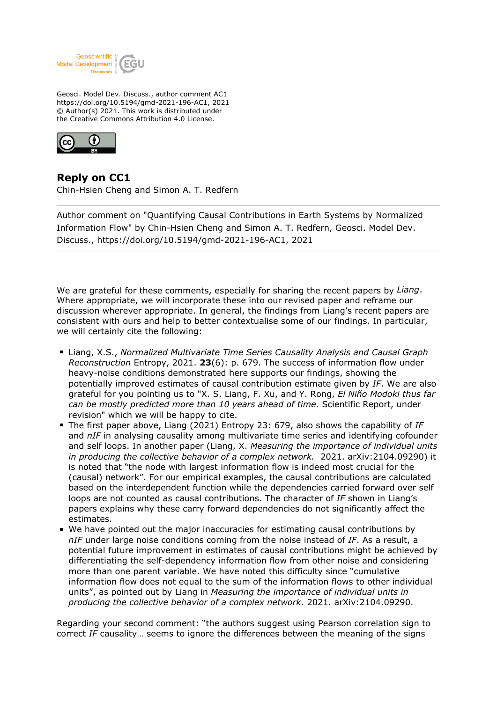

Geosci. Model Dev. Discuss., author comment AC1 https://doi.org/10.5194/gmd-2021-196-AC1, 2021 © Author(s) 2021. This work is distributed under the Creative Commons Attribution 4.0 License.



**Reply on CC1** Chin-Hsien Cheng and Simon A. T. Redfern

Author comment on "Quantifying Causal Contributions in Earth Systems by Normalized Information Flow" by Chin-Hsien Cheng and Simon A. T. Redfern, Geosci. Model Dev. Discuss., https://doi.org/10.5194/gmd-2021-196-AC1, 2021

We are grateful for these comments, especially for sharing the recent papers by *Liang*. Where appropriate, we will incorporate these into our revised paper and reframe our discussion wherever appropriate. In general, the findings from Liang's recent papers are consistent with ours and help to better contextualise some of our findings. In particular, we will certainly cite the following:

- Liang, X.S., *Normalized Multivariate Time Series Causality Analysis and Causal Graph Reconstruction* Entropy, 2021. **23**(6): p. 679. The success of information flow under heavy-noise conditions demonstrated here supports our findings, showing the potentially improved estimates of causal contribution estimate given by *IF*. We are also grateful for you pointing us to "X. S. Liang, F. Xu, and Y. Rong, *El Niño Modoki thus far can be mostly predicted more than 10 years ahead of time.* Scientific Report, under revision" which we will be happy to cite.
- The first paper above, Liang (2021) Entropy 23: 679, also shows the capability of IF and *nIF* in analysing causality among multivariate time series and identifying cofounder and self loops. In another paper (Liang, X. *Measuring the importance of individual units in producing the collective behavior of a complex network.* 2021. arXiv:2104.09290) it is noted that "the node with largest information flow is indeed most crucial for the (causal) network". For our empirical examples, the causal contributions are calculated based on the interdependent function while the dependencies carried forward over self loops are not counted as causal contributions. The character of *IF* shown in Liang's papers explains why these carry forward dependencies do not significantly affect the estimates.
- We have pointed out the major inaccuracies for estimating causal contributions by *nIF* under large noise conditions coming from the noise instead of *IF*. As a result, a potential future improvement in estimates of causal contributions might be achieved by differentiating the self-dependency information flow from other noise and considering more than one parent variable. We have noted this difficulty since "cumulative information flow does not equal to the sum of the information flows to other individual units", as pointed out by Liang in *Measuring the importance of individual units in producing the collective behavior of a complex network.* 2021. arXiv:2104.09290.

Regarding your second comment: "the authors suggest using Pearson correlation sign to correct *IF* causality… seems to ignore the differences between the meaning of the signs